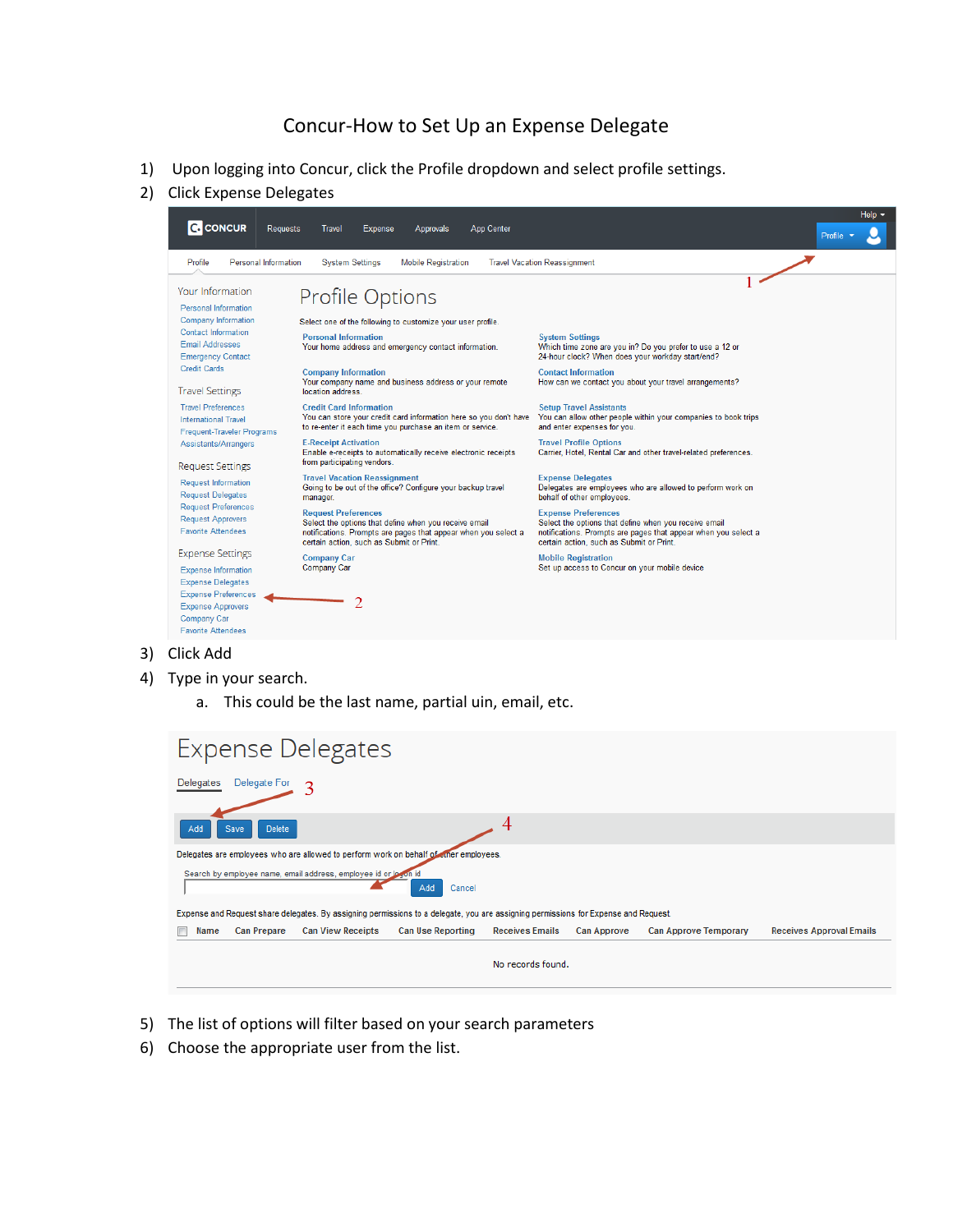## Concur-How to Set Up an Expense Delegate

- 1) Upon logging into Concur, click the Profile dropdown and select profile settings.
- 2) Click Expense Delegates



- 3) Click Add
- 4) Type in your search.
	- a. This could be the last name, partial uin, email, etc.

| <b>Expense Delegates</b>                                                                                                            |                          |                          |                        |                    |                              |                                 |  |  |
|-------------------------------------------------------------------------------------------------------------------------------------|--------------------------|--------------------------|------------------------|--------------------|------------------------------|---------------------------------|--|--|
| Delegate For<br>Delegates                                                                                                           |                          |                          |                        |                    |                              |                                 |  |  |
| Save<br><b>Delete</b><br>Add                                                                                                        |                          |                          |                        |                    |                              |                                 |  |  |
| Delegates are employees who are allowed to perform work on behalf of other employees.                                               |                          |                          |                        |                    |                              |                                 |  |  |
| Search by employee name, email address, employee id or logon id<br>Add<br>Cancel                                                    |                          |                          |                        |                    |                              |                                 |  |  |
| Expense and Request share delegates. By assigning permissions to a delegate, you are assigning permissions for Expense and Request. |                          |                          |                        |                    |                              |                                 |  |  |
| <b>Can Prepare</b><br>Name                                                                                                          | <b>Can View Receipts</b> | <b>Can Use Reporting</b> | <b>Receives Emails</b> | <b>Can Approve</b> | <b>Can Approve Temporary</b> | <b>Receives Approval Emails</b> |  |  |
| No records found.                                                                                                                   |                          |                          |                        |                    |                              |                                 |  |  |

- 5) The list of options will filter based on your search parameters
- 6) Choose the appropriate user from the list.